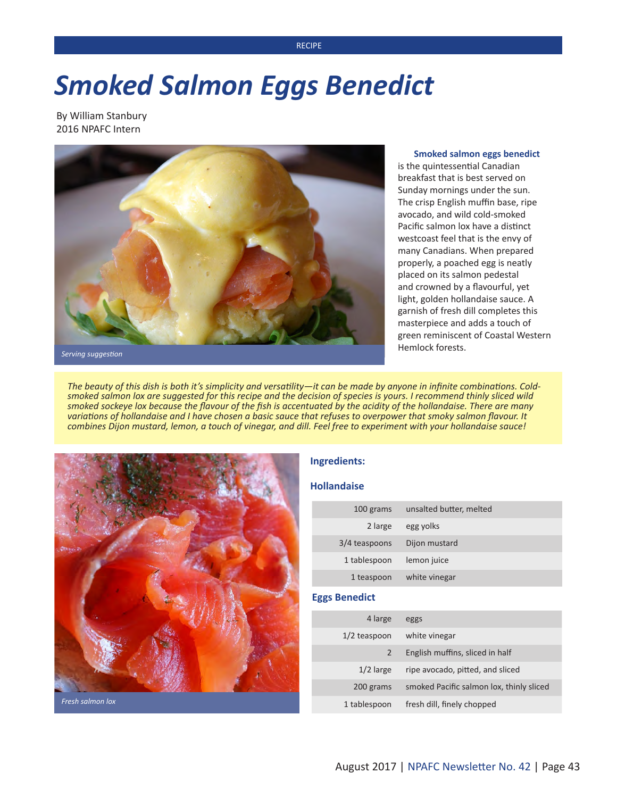### **RECIPE**

# *Smoked Salmon Eggs Benedict*

By William Stanbury 2016 NPAFC Intern



#### **Smoked salmon eggs benedict**

is the quintessential Canadian breakfast that is best served on Sunday mornings under the sun. The crisp English muffin base, ripe avocado, and wild cold-smoked Pacific salmon lox have a distinct westcoast feel that is the envy of many Canadians. When prepared properly, a poached egg is neatly placed on its salmon pedestal and crowned by a flavourful, yet light, golden hollandaise sauce. A garnish of fresh dill completes this masterpiece and adds a touch of green reminiscent of Coastal Western Hemlock forests.

*Serving suggestion*

*The beauty of this dish is both it's simplicity and versatility—it can be made by anyone in infinite combinations. Coldsmoked salmon lox are suggested for this recipe and the decision of species is yours. I recommend thinly sliced wild smoked sockeye lox because the flavour of the fish is accentuated by the acidity of the hollandaise. There are many variations of hollandaise and I have chosen a basic sauce that refuses to overpower that smoky salmon flavour. It combines Dijon mustard, lemon, a touch of vinegar, and dill. Feel free to experiment with your hollandaise sauce!*



## **Ingredients:**

#### **Hollandaise**

| 100 grams     | unsalted butter, melted |
|---------------|-------------------------|
| 2 large       | egg yolks               |
| 3/4 teaspoons | Dijon mustard           |
| 1 tablespoon  | lemon juice             |
| 1 teaspoon    | white vinegar           |

## **Eggs Benedict**

| 4 large        | eggs                                     |
|----------------|------------------------------------------|
| $1/2$ teaspoon | white vinegar                            |
| 2              | English muffins, sliced in half          |
| $1/2$ large    | ripe avocado, pitted, and sliced         |
| 200 grams      | smoked Pacific salmon lox, thinly sliced |
| 1 tablespoon   | fresh dill, finely chopped               |